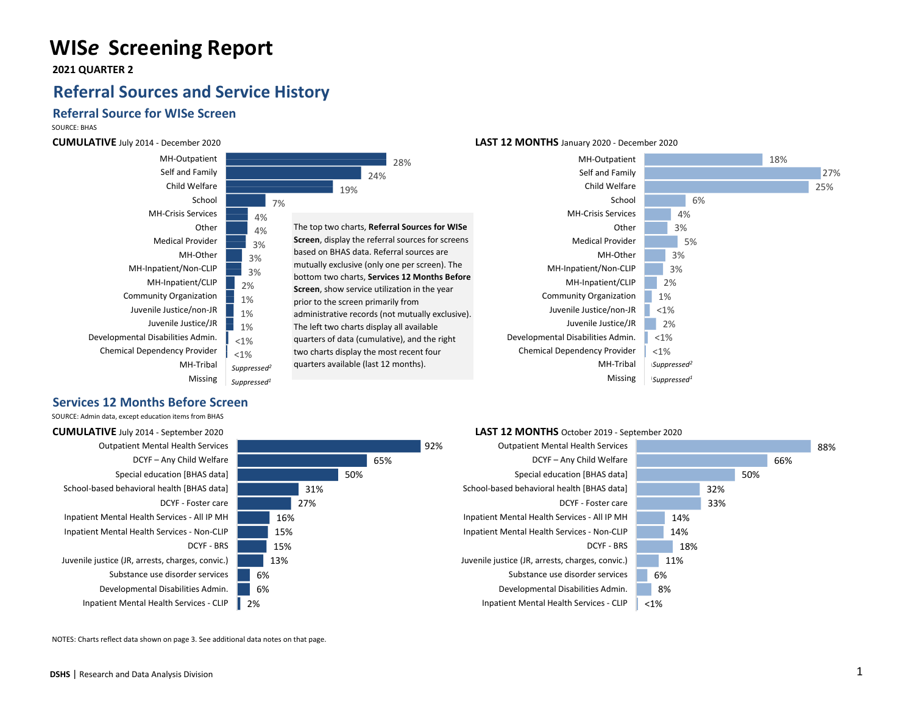# **WIS***e* **Screening Report**

 **2021 QUARTER 2**

# **Referral Sources and Service History**

## **Referral Source for WISe Screen**

SOURCE: BHAS

### **CUMULATIVE** July 2014 - December 2020



### **Services 12 Months Before Screen**

SOURCE: Admin data, except education items from BHAS

**CUMULATIVE** July 2014 - September 2020 Outpatient Mental Health Services DCYF – Any Child Welfare Special education [BHAS data] School-based behavioral health [BHAS data] DCYF - Foster care Inpatient Mental Health Services - All IP MH Inpatient Mental Health Services - Non-CLIP DCYF - BRS Juvenile justice (JR, arrests, charges, convic.) Substance use disorder services Developmental Disabilities Admin. Inpatient Mental Health Services - CLIP

65% 50% 31% 27% 16% 15% 15% 13% 6% 6% 2%

28%

92%

### **LAST 12 MONTHS** January 2020 - December 2020







#### NOTES: Charts reflect data shown on page 3. See additional data notes on that page.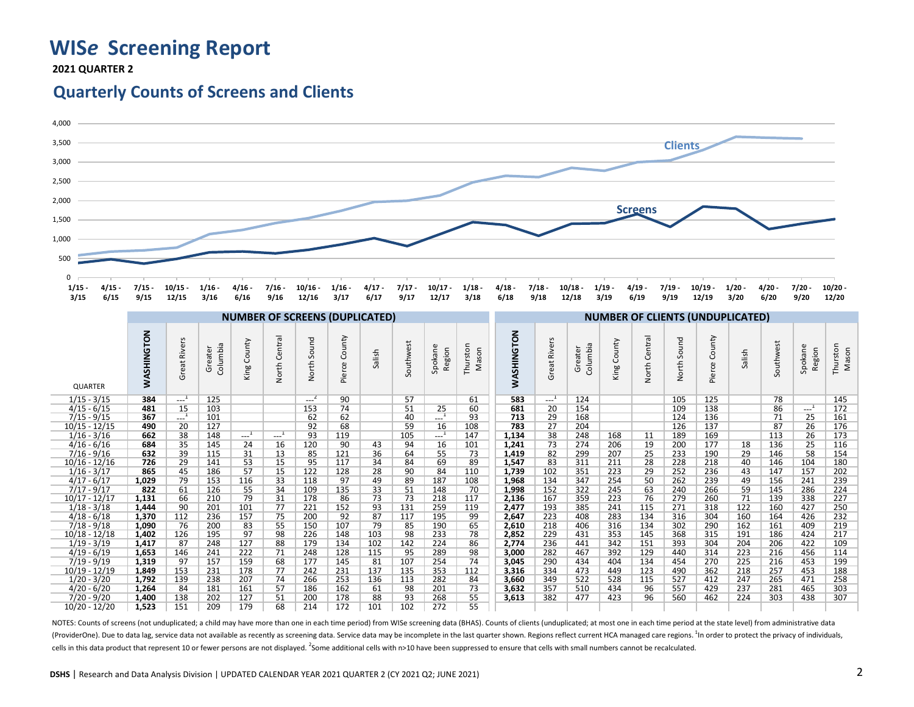# **WIS***e* **Screening Report**

 **2021 QUARTER 2**

## **Quarterly Counts of Screens and Clients**



NOTES: Counts of screens (not unduplicated; a child may have more than one in each time period) from WISe screening data (BHAS). Counts of clients (unduplicated; at most one in each time period at the state level) from adm (ProviderOne). Due to data lag, service data not available as recently as screening data. Service data may be incomplete in the last quarter shown. Regions reflect current HCA managed care regions.<sup>1</sup> In order to protect t cells in this data product that represent 10 or fewer persons are not displayed. <sup>2</sup> Some additional cells with n>10 have been suppressed to ensure that cells with small numbers cannot be recalculated.